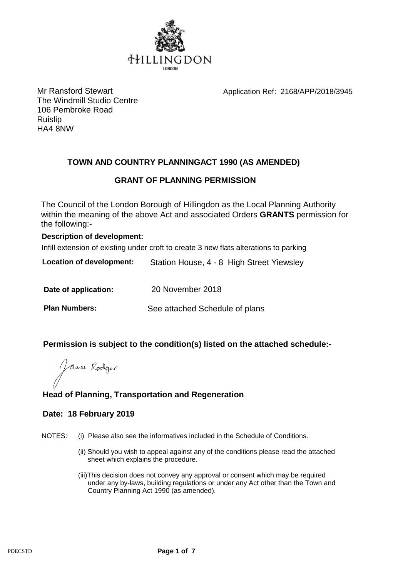

Mr Ransford Stewart Mr Ransford Stewart Application Ref: 2168/APP/2018/3945

The Windmill Studio Centre 106 Pembroke Road Ruislip HA4 8NW

# **TOWN AND COUNTRY PLANNINGACT 1990 (AS AMENDED)**

# **GRANT OF PLANNING PERMISSION**

The Council of the London Borough of Hillingdon as the Local Planning Authority within the meaning of the above Act and associated Orders **GRANTS** permission for the following:-

### **Description of development:**

Infill extension of existing under croft to create 3 new flats alterations to parking

**Location of development:** Station House, 4 - 8 High Street Yiewsley

**Date of application:** 20 November 2018

**Plan Numbers:** See attached Schedule of plans

## **Permission is subject to the condition(s) listed on the attached schedule:-**

James Rodger

# **Head of Planning, Transportation and Regeneration**

## **Date: 18 February 2019**

NOTES: (i) Please also see the informatives included in the Schedule of Conditions.

- (ii) Should you wish to appeal against any of the conditions please read the attached sheet which explains the procedure.
- (iii)This decision does not convey any approval or consent which may be required under any by-laws, building regulations or under any Act other than the Town and Country Planning Act 1990 (as amended).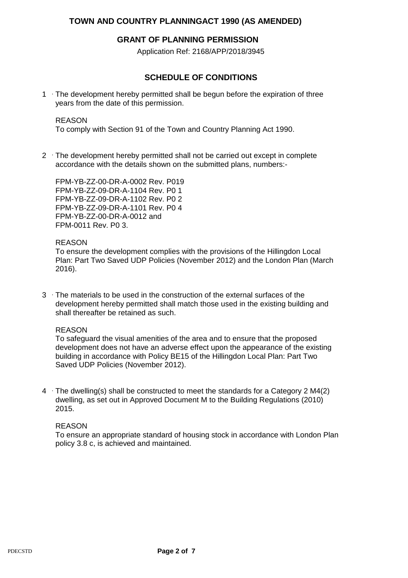### **TOWN AND COUNTRY PLANNINGACT 1990 (AS AMENDED)**

### **GRANT OF PLANNING PERMISSION**

Application Ref: 2168/APP/2018/3945

## **SCHEDULE OF CONDITIONS**

1 The development hereby permitted shall be begun before the expiration of three years from the date of this permission.

#### REASON

To comply with Section 91 of the Town and Country Planning Act 1990.

2 The development hereby permitted shall not be carried out except in complete accordance with the details shown on the submitted plans, numbers:-

FPM-YB-ZZ-00-DR-A-0002 Rev. P019 FPM-YB-ZZ-09-DR-A-1104 Rev. P0 1 FPM-YB-ZZ-09-DR-A-1102 Rev. P0 2 FPM-YB-ZZ-09-DR-A-1101 Rev. P0 4 FPM-YB-ZZ-00-DR-A-0012 and FPM-0011 Rev. P0 3.

#### REASON

To ensure the development complies with the provisions of the Hillingdon Local Plan: Part Two Saved UDP Policies (November 2012) and the London Plan (March 2016).

3 The materials to be used in the construction of the external surfaces of the development hereby permitted shall match those used in the existing building and shall thereafter be retained as such.

#### REASON

To safeguard the visual amenities of the area and to ensure that the proposed development does not have an adverse effect upon the appearance of the existing building in accordance with Policy BE15 of the Hillingdon Local Plan: Part Two Saved UDP Policies (November 2012).

4  $\cdot$  The dwelling(s) shall be constructed to meet the standards for a Category 2 M4(2) dwelling, as set out in Approved Document M to the Building Regulations (2010) 2015.

#### REASON

To ensure an appropriate standard of housing stock in accordance with London Plan policy 3.8 c, is achieved and maintained.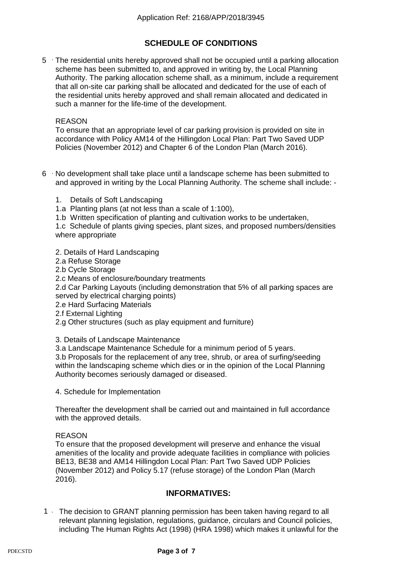# **SCHEDULE OF CONDITIONS**

5 The residential units hereby approved shall not be occupied until a parking allocation scheme has been submitted to, and approved in writing by, the Local Planning Authority. The parking allocation scheme shall, as a minimum, include a requirement that all on-site car parking shall be allocated and dedicated for the use of each of the residential units hereby approved and shall remain allocated and dedicated in such a manner for the life-time of the development.

#### REASON

To ensure that an appropriate level of car parking provision is provided on site in accordance with Policy AM14 of the Hillingdon Local Plan: Part Two Saved UDP Policies (November 2012) and Chapter 6 of the London Plan (March 2016).

- $6$   $\cdot$  No development shall take place until a landscape scheme has been submitted to and approved in writing by the Local Planning Authority. The scheme shall include: -
	- 1. Details of Soft Landscaping
	- 1.a Planting plans (at not less than a scale of 1:100),
	- 1.b Written specification of planting and cultivation works to be undertaken,

1.c Schedule of plants giving species, plant sizes, and proposed numbers/densities where appropriate

2. Details of Hard Landscaping

- 2.a Refuse Storage
- 2.b Cycle Storage
- 2.c Means of enclosure/boundary treatments

2.d Car Parking Layouts (including demonstration that 5% of all parking spaces are served by electrical charging points)

- 2.e Hard Surfacing Materials
- 2.f External Lighting
- 2.g Other structures (such as play equipment and furniture)

3. Details of Landscape Maintenance

3.a Landscape Maintenance Schedule for a minimum period of 5 years.

3.b Proposals for the replacement of any tree, shrub, or area of surfing/seeding within the landscaping scheme which dies or in the opinion of the Local Planning Authority becomes seriously damaged or diseased.

4. Schedule for Implementation

Thereafter the development shall be carried out and maintained in full accordance with the approved details.

#### REASON

To ensure that the proposed development will preserve and enhance the visual amenities of the locality and provide adequate facilities in compliance with policies BE13, BE38 and AM14 Hillingdon Local Plan: Part Two Saved UDP Policies (November 2012) and Policy 5.17 (refuse storage) of the London Plan (March 2016).

### **INFORMATIVES:**

1 The decision to GRANT planning permission has been taken having regard to all relevant planning legislation, regulations, guidance, circulars and Council policies, including The Human Rights Act (1998) (HRA 1998) which makes it unlawful for the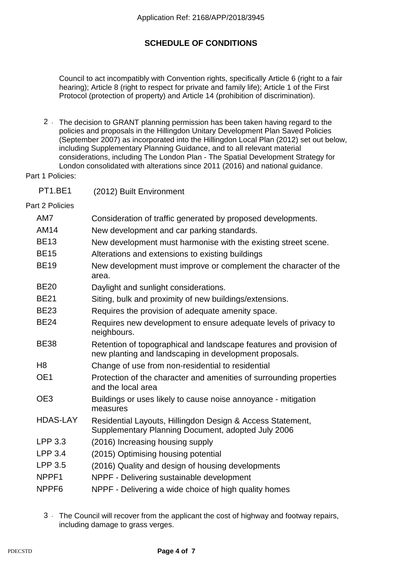# **SCHEDULE OF CONDITIONS**

Council to act incompatibly with Convention rights, specifically Article 6 (right to a fair hearing); Article 8 (right to respect for private and family life); Article 1 of the First Protocol (protection of property) and Article 14 (prohibition of discrimination).

2 The decision to GRANT planning permission has been taken having regard to the policies and proposals in the Hillingdon Unitary Development Plan Saved Policies (September 2007) as incorporated into the Hillingdon Local Plan (2012) set out below, including Supplementary Planning Guidance, and to all relevant material considerations, including The London Plan - The Spatial Development Strategy for London consolidated with alterations since 2011 (2016) and national guidance.

Part 1 Policies:

PT1.BE1 (2012) Built Environment

Part 2 Policies

| AM7               | Consideration of traffic generated by proposed developments.                                                                 |
|-------------------|------------------------------------------------------------------------------------------------------------------------------|
| <b>AM14</b>       | New development and car parking standards.                                                                                   |
| <b>BE13</b>       | New development must harmonise with the existing street scene.                                                               |
| <b>BE15</b>       | Alterations and extensions to existing buildings                                                                             |
| <b>BE19</b>       | New development must improve or complement the character of the<br>area.                                                     |
| <b>BE20</b>       | Daylight and sunlight considerations.                                                                                        |
| <b>BE21</b>       | Siting, bulk and proximity of new buildings/extensions.                                                                      |
| <b>BE23</b>       | Requires the provision of adequate amenity space.                                                                            |
| <b>BE24</b>       | Requires new development to ensure adequate levels of privacy to<br>neighbours.                                              |
| <b>BE38</b>       | Retention of topographical and landscape features and provision of<br>new planting and landscaping in development proposals. |
| H <sub>8</sub>    | Change of use from non-residential to residential                                                                            |
| OE1               | Protection of the character and amenities of surrounding properties<br>and the local area                                    |
| OE3               | Buildings or uses likely to cause noise annoyance - mitigation<br>measures                                                   |
| <b>HDAS-LAY</b>   | Residential Layouts, Hillingdon Design & Access Statement,<br>Supplementary Planning Document, adopted July 2006             |
| LPP 3.3           | (2016) Increasing housing supply                                                                                             |
| LPP 3.4           | (2015) Optimising housing potential                                                                                          |
| LPP 3.5           | (2016) Quality and design of housing developments                                                                            |
| NPPF1             | NPPF - Delivering sustainable development                                                                                    |
| NPPF <sub>6</sub> | NPPF - Delivering a wide choice of high quality homes                                                                        |
|                   |                                                                                                                              |

3 The Council will recover from the applicant the cost of highway and footway repairs, including damage to grass verges.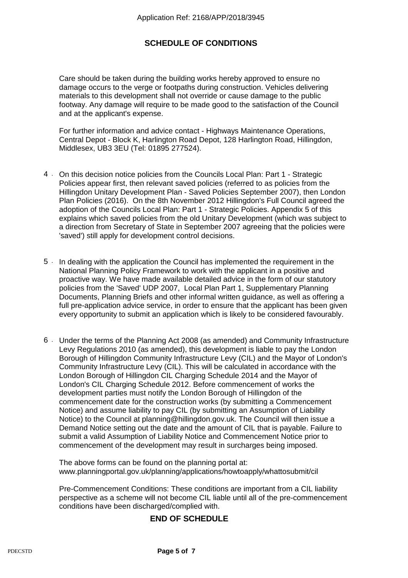## **SCHEDULE OF CONDITIONS**

Care should be taken during the building works hereby approved to ensure no damage occurs to the verge or footpaths during construction. Vehicles delivering materials to this development shall not override or cause damage to the public footway. Any damage will require to be made good to the satisfaction of the Council and at the applicant's expense.

For further information and advice contact - Highways Maintenance Operations, Central Depot - Block K, Harlington Road Depot, 128 Harlington Road, Hillingdon, Middlesex, UB3 3EU (Tel: 01895 277524).

- 4 On this decision notice policies from the Councils Local Plan: Part 1 Strategic Policies appear first, then relevant saved policies (referred to as policies from the Hillingdon Unitary Development Plan - Saved Policies September 2007), then London Plan Policies (2016). On the 8th November 2012 Hillingdon's Full Council agreed the adoption of the Councils Local Plan: Part 1 - Strategic Policies. Appendix 5 of this explains which saved policies from the old Unitary Development (which was subject to a direction from Secretary of State in September 2007 agreeing that the policies were 'saved') still apply for development control decisions.
- In dealing with the application the Council has implemented the requirement in the National Planning Policy Framework to work with the applicant in a positive and proactive way. We have made available detailed advice in the form of our statutory policies from the 'Saved' UDP 2007, Local Plan Part 1, Supplementary Planning Documents, Planning Briefs and other informal written guidance, as well as offering a full pre-application advice service, in order to ensure that the applicant has been given every opportunity to submit an application which is likely to be considered favourably. 5 .
- 6 Under the terms of the Planning Act 2008 (as amended) and Community Infrastructure Levy Regulations 2010 (as amended), this development is liable to pay the London Borough of Hillingdon Community Infrastructure Levy (CIL) and the Mayor of London's Community Infrastructure Levy (CIL). This will be calculated in accordance with the London Borough of Hillingdon CIL Charging Schedule 2014 and the Mayor of London's CIL Charging Schedule 2012. Before commencement of works the development parties must notify the London Borough of Hillingdon of the commencement date for the construction works (by submitting a Commencement Notice) and assume liability to pay CIL (by submitting an Assumption of Liability Notice) to the Council at planning@hillingdon.gov.uk. The Council will then issue a Demand Notice setting out the date and the amount of CIL that is payable. Failure to submit a valid Assumption of Liability Notice and Commencement Notice prior to commencement of the development may result in surcharges being imposed.

The above forms can be found on the planning portal at: www.planningportal.gov.uk/planning/applications/howtoapply/whattosubmit/cil

Pre-Commencement Conditions: These conditions are important from a CIL liability perspective as a scheme will not become CIL liable until all of the pre-commencement conditions have been discharged/complied with.

## **END OF SCHEDULE**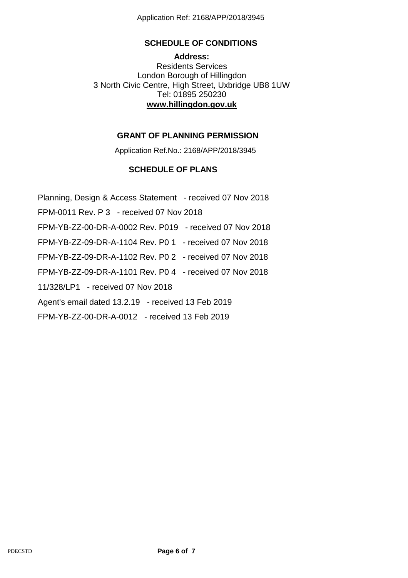Application Ref: 2168/APP/2018/3945

## **SCHEDULE OF CONDITIONS**

**Address:** Residents Services London Borough of Hillingdon 3 North Civic Centre, High Street, Uxbridge UB8 1UW Tel: 01895 250230 **www.hillingdon.gov.uk**

## **GRANT OF PLANNING PERMISSION**

Application Ref.No.: 2168/APP/2018/3945

# **SCHEDULE OF PLANS**

Planning, Design & Access Statement - received 07 Nov 2018 FPM-0011 Rev. P 3 - received 07 Nov 2018 FPM-YB-ZZ-00-DR-A-0002 Rev. P019 - received 07 Nov 2018 FPM-YB-ZZ-09-DR-A-1104 Rev. P0 1 - received 07 Nov 2018 FPM-YB-ZZ-09-DR-A-1102 Rev. P0 2 - received 07 Nov 2018 FPM-YB-ZZ-09-DR-A-1101 Rev. P0 4 - received 07 Nov 2018 11/328/LP1 - received 07 Nov 2018 Agent's email dated 13.2.19 - received 13 Feb 2019 FPM-YB-ZZ-00-DR-A-0012 - received 13 Feb 2019